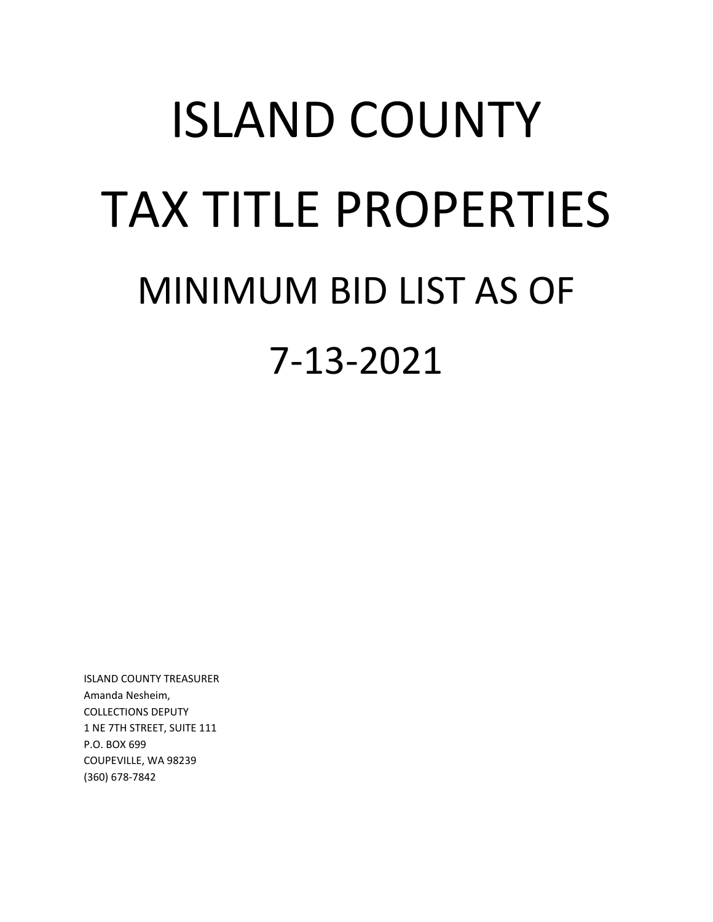# ISLAND COUNTY TAX TITLE PROPERTIES MINIMUM BID LIST AS OF 7-13-2021

ISLAND COUNTY TREASURER Amanda Nesheim, COLLECTIONS DEPUTY 1 NE 7TH STREET, SUITE 111 P.O. BOX 699 COUPEVILLE, WA 98239 (360) 678-7842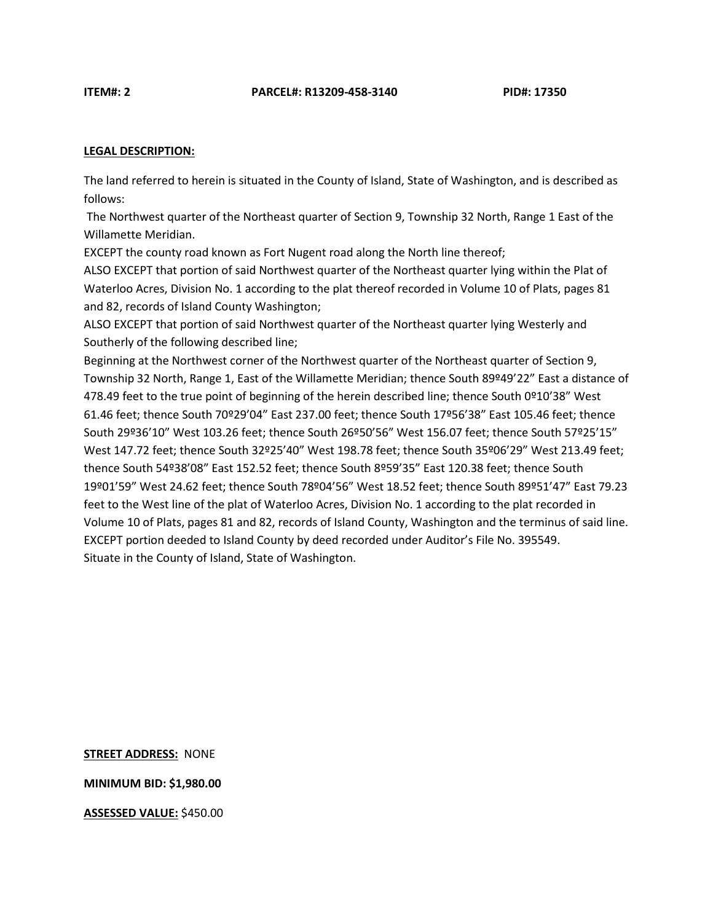The land referred to herein is situated in the County of Island, State of Washington, and is described as follows:

The Northwest quarter of the Northeast quarter of Section 9, Township 32 North, Range 1 East of the Willamette Meridian.

EXCEPT the county road known as Fort Nugent road along the North line thereof;

ALSO EXCEPT that portion of said Northwest quarter of the Northeast quarter lying within the Plat of Waterloo Acres, Division No. 1 according to the plat thereof recorded in Volume 10 of Plats, pages 81 and 82, records of Island County Washington;

ALSO EXCEPT that portion of said Northwest quarter of the Northeast quarter lying Westerly and Southerly of the following described line;

Beginning at the Northwest corner of the Northwest quarter of the Northeast quarter of Section 9, Township 32 North, Range 1, East of the Willamette Meridian; thence South 89º49'22" East a distance of 478.49 feet to the true point of beginning of the herein described line; thence South 0º10'38" West 61.46 feet; thence South 70º29'04" East 237.00 feet; thence South 17º56'38" East 105.46 feet; thence South 29º36'10" West 103.26 feet; thence South 26º50'56" West 156.07 feet; thence South 57º25'15" West 147.72 feet; thence South 32º25'40" West 198.78 feet; thence South 35º06'29" West 213.49 feet; thence South 54º38'08" East 152.52 feet; thence South 8º59'35" East 120.38 feet; thence South 19º01'59" West 24.62 feet; thence South 78º04'56" West 18.52 feet; thence South 89º51'47" East 79.23 feet to the West line of the plat of Waterloo Acres, Division No. 1 according to the plat recorded in Volume 10 of Plats, pages 81 and 82, records of Island County, Washington and the terminus of said line. EXCEPT portion deeded to Island County by deed recorded under Auditor's File No. 395549. Situate in the County of Island, State of Washington.

**STREET ADDRESS:** NONE

**MINIMUM BID: \$1,980.00**

**ASSESSED VALUE:** \$450.00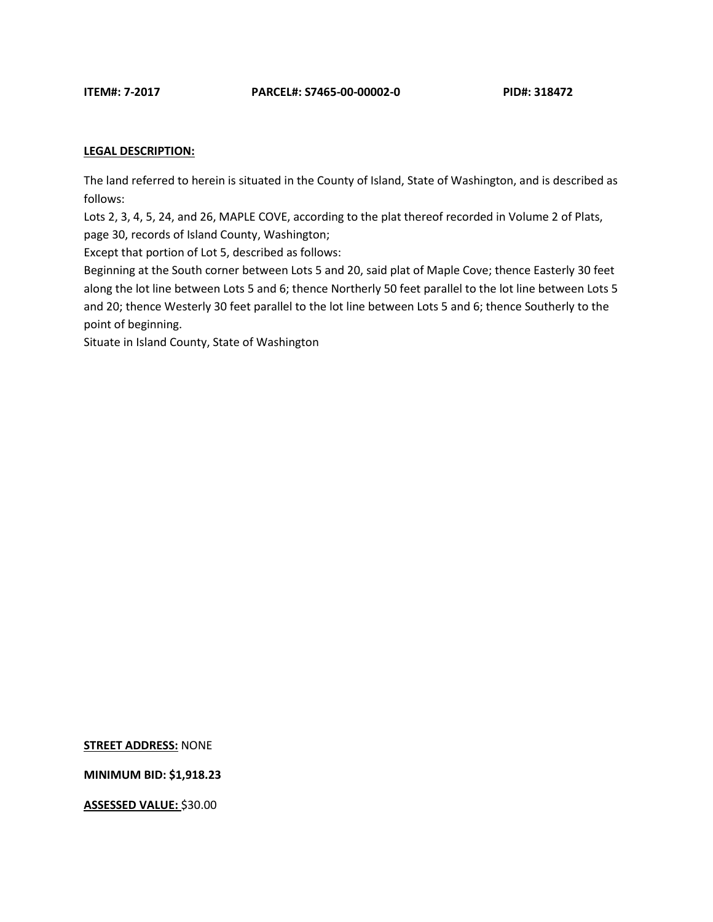The land referred to herein is situated in the County of Island, State of Washington, and is described as follows:

Lots 2, 3, 4, 5, 24, and 26, MAPLE COVE, according to the plat thereof recorded in Volume 2 of Plats, page 30, records of Island County, Washington;

Except that portion of Lot 5, described as follows:

Beginning at the South corner between Lots 5 and 20, said plat of Maple Cove; thence Easterly 30 feet along the lot line between Lots 5 and 6; thence Northerly 50 feet parallel to the lot line between Lots 5 and 20; thence Westerly 30 feet parallel to the lot line between Lots 5 and 6; thence Southerly to the point of beginning.

Situate in Island County, State of Washington

**STREET ADDRESS:** NONE

**MINIMUM BID: \$1,918.23**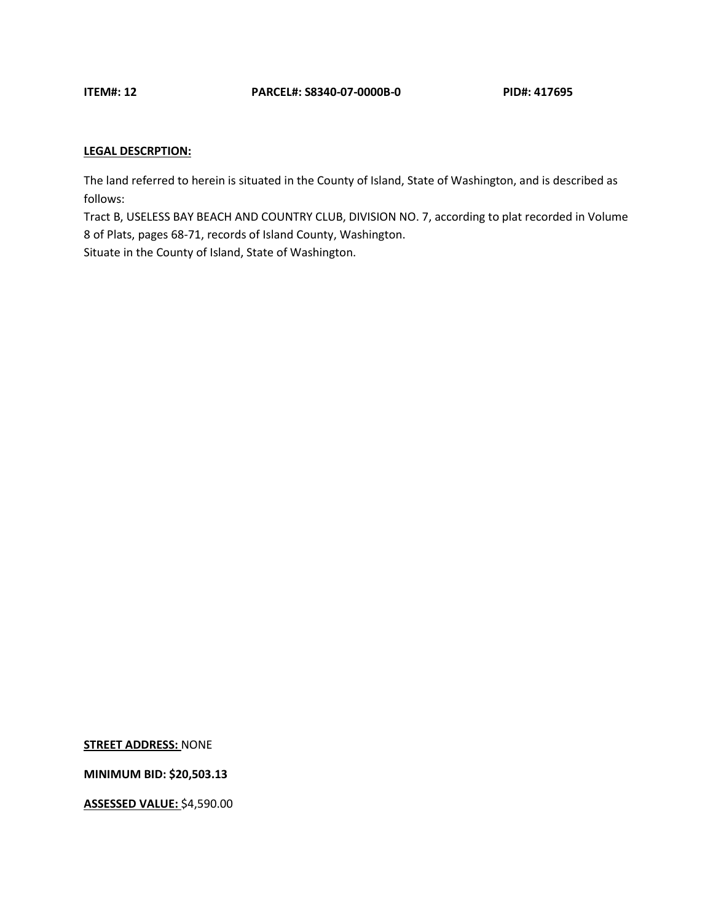The land referred to herein is situated in the County of Island, State of Washington, and is described as follows:

Tract B, USELESS BAY BEACH AND COUNTRY CLUB, DIVISION NO. 7, according to plat recorded in Volume 8 of Plats, pages 68-71, records of Island County, Washington. Situate in the County of Island, State of Washington.

**STREET ADDRESS:** NONE

**MINIMUM BID: \$20,503.13**

**ASSESSED VALUE:** \$4,590.00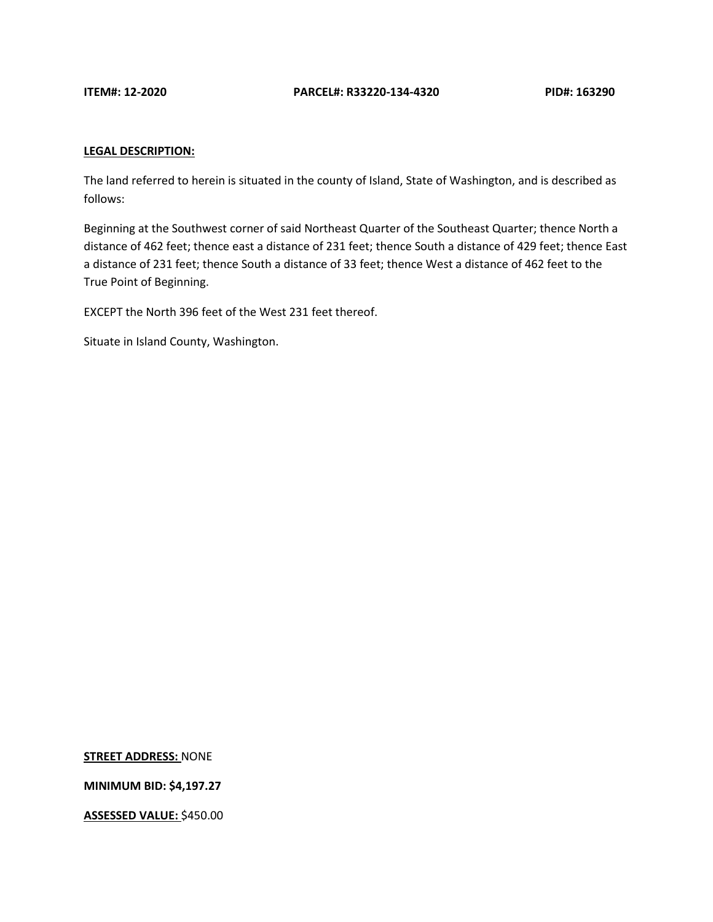The land referred to herein is situated in the county of Island, State of Washington, and is described as follows:

Beginning at the Southwest corner of said Northeast Quarter of the Southeast Quarter; thence North a distance of 462 feet; thence east a distance of 231 feet; thence South a distance of 429 feet; thence East a distance of 231 feet; thence South a distance of 33 feet; thence West a distance of 462 feet to the True Point of Beginning.

EXCEPT the North 396 feet of the West 231 feet thereof.

Situate in Island County, Washington.

**STREET ADDRESS:** NONE

**MINIMUM BID: \$4,197.27**

**ASSESSED VALUE:** \$450.00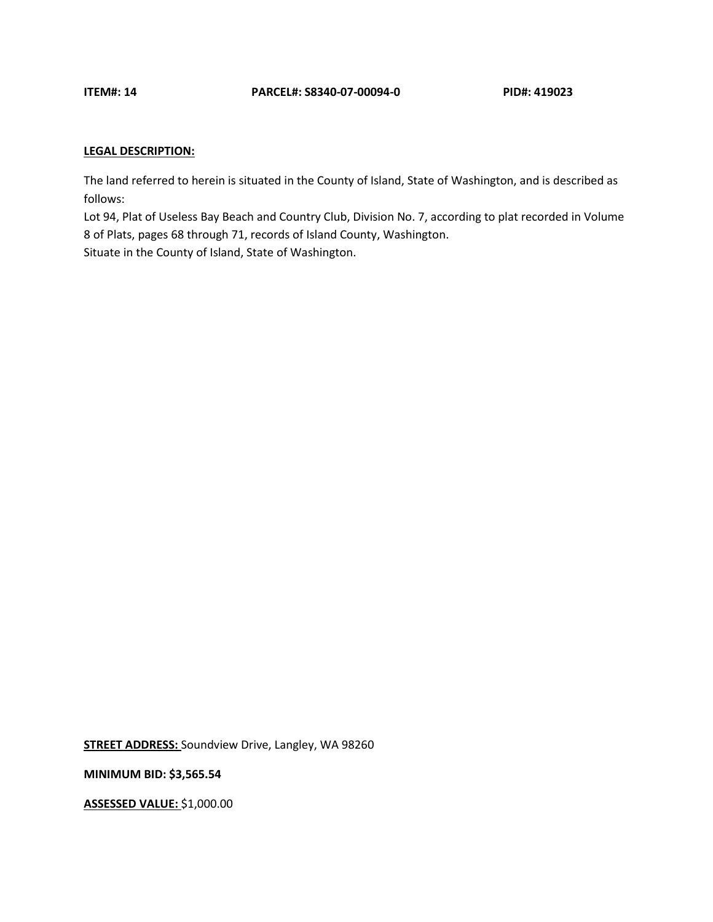The land referred to herein is situated in the County of Island, State of Washington, and is described as follows:

Lot 94, Plat of Useless Bay Beach and Country Club, Division No. 7, according to plat recorded in Volume 8 of Plats, pages 68 through 71, records of Island County, Washington. Situate in the County of Island, State of Washington.

**STREET ADDRESS:** Soundview Drive, Langley, WA 98260

**MINIMUM BID: \$3,565.54**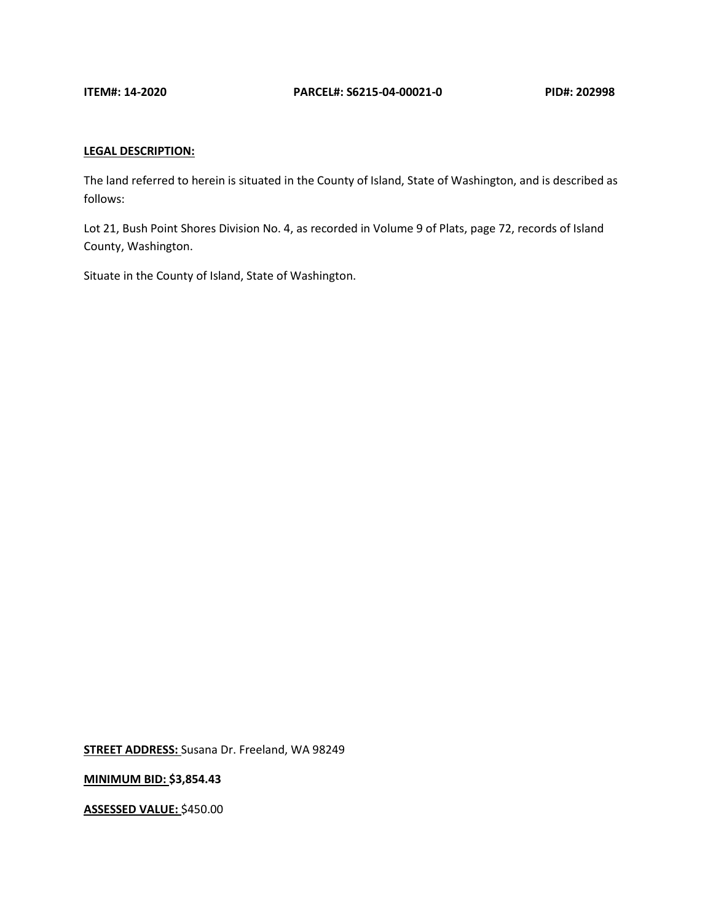The land referred to herein is situated in the County of Island, State of Washington, and is described as follows:

Lot 21, Bush Point Shores Division No. 4, as recorded in Volume 9 of Plats, page 72, records of Island County, Washington.

Situate in the County of Island, State of Washington.

**STREET ADDRESS:** Susana Dr. Freeland, WA 98249

**MINIMUM BID: \$3,854.43**

**ASSESSED VALUE:** \$450.00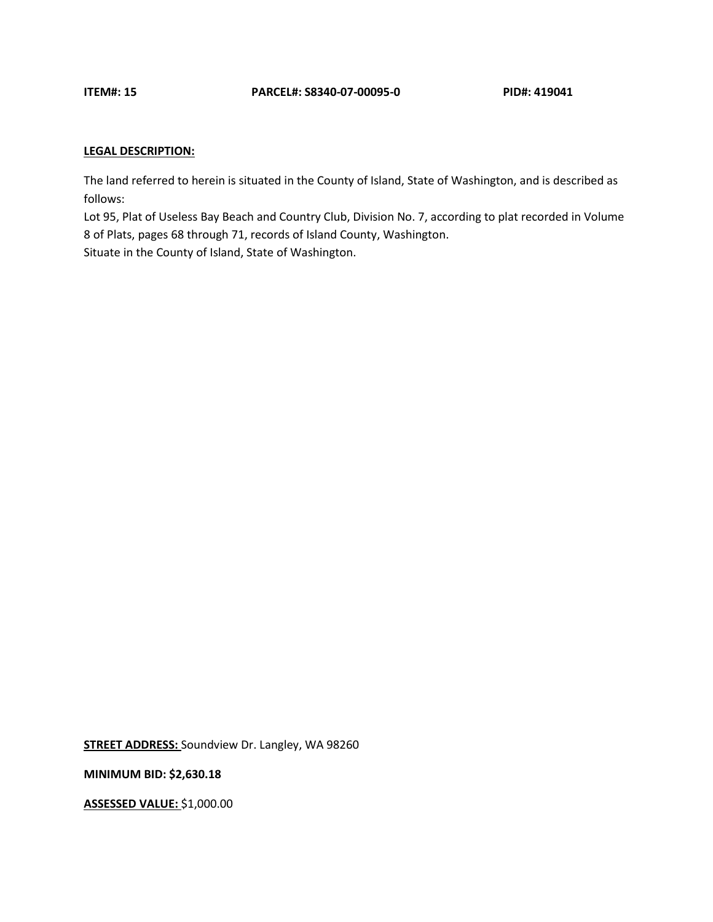The land referred to herein is situated in the County of Island, State of Washington, and is described as follows:

Lot 95, Plat of Useless Bay Beach and Country Club, Division No. 7, according to plat recorded in Volume 8 of Plats, pages 68 through 71, records of Island County, Washington. Situate in the County of Island, State of Washington.

**STREET ADDRESS:** Soundview Dr. Langley, WA 98260

**MINIMUM BID: \$2,630.18**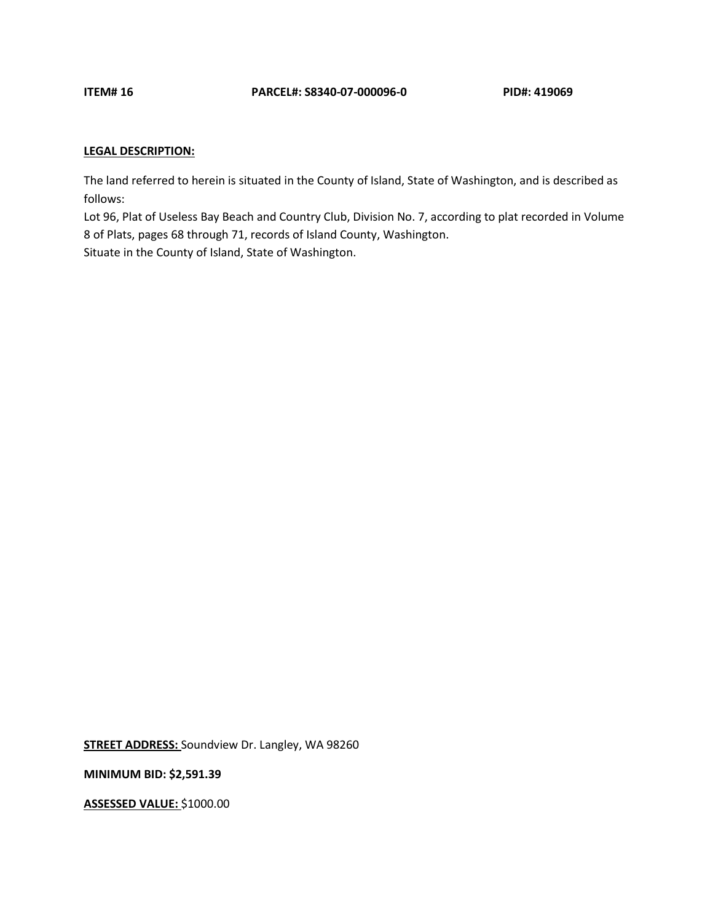The land referred to herein is situated in the County of Island, State of Washington, and is described as follows:

Lot 96, Plat of Useless Bay Beach and Country Club, Division No. 7, according to plat recorded in Volume 8 of Plats, pages 68 through 71, records of Island County, Washington. Situate in the County of Island, State of Washington.

**STREET ADDRESS:** Soundview Dr. Langley, WA 98260

**MINIMUM BID: \$2,591.39**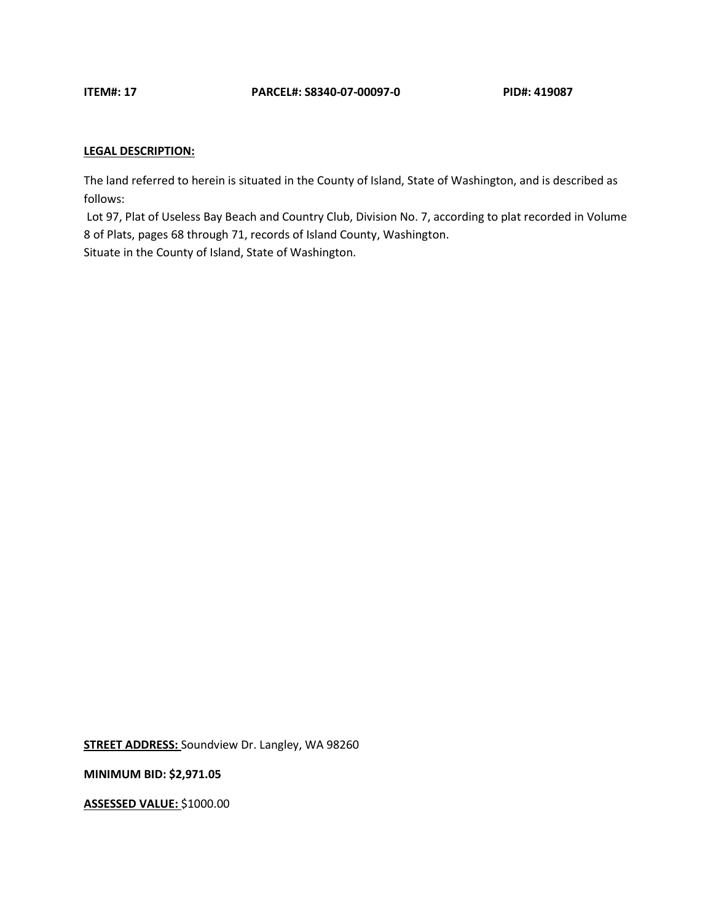The land referred to herein is situated in the County of Island, State of Washington, and is described as follows:

Lot 97, Plat of Useless Bay Beach and Country Club, Division No. 7, according to plat recorded in Volume 8 of Plats, pages 68 through 71, records of Island County, Washington. Situate in the County of Island, State of Washington.

**STREET ADDRESS:** Soundview Dr. Langley, WA 98260

**MINIMUM BID: \$2,971.05**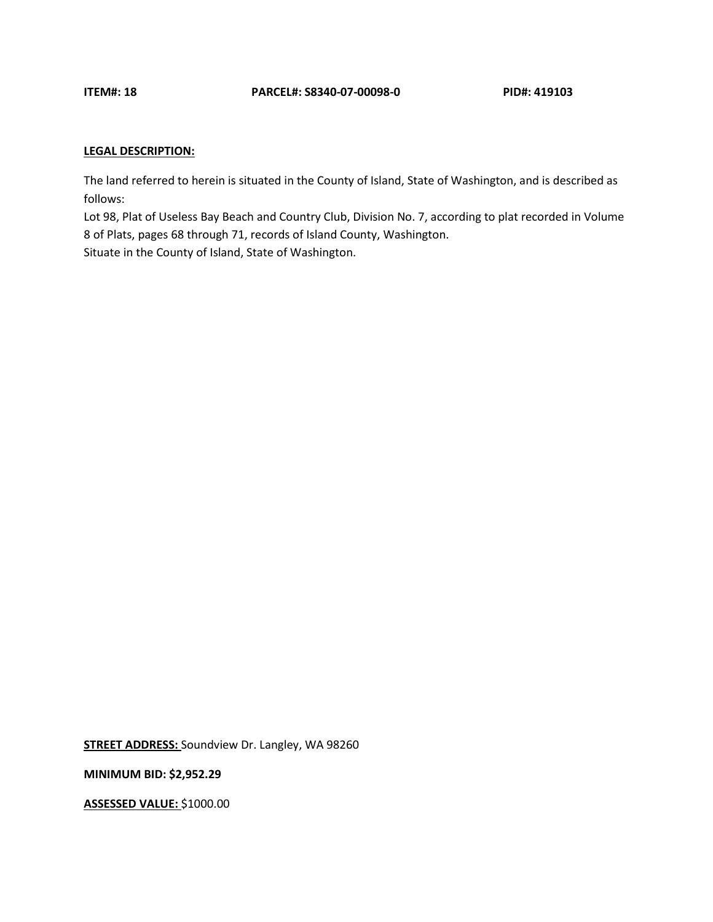The land referred to herein is situated in the County of Island, State of Washington, and is described as follows:

Lot 98, Plat of Useless Bay Beach and Country Club, Division No. 7, according to plat recorded in Volume 8 of Plats, pages 68 through 71, records of Island County, Washington. Situate in the County of Island, State of Washington.

**STREET ADDRESS:** Soundview Dr. Langley, WA 98260

**MINIMUM BID: \$2,952.29**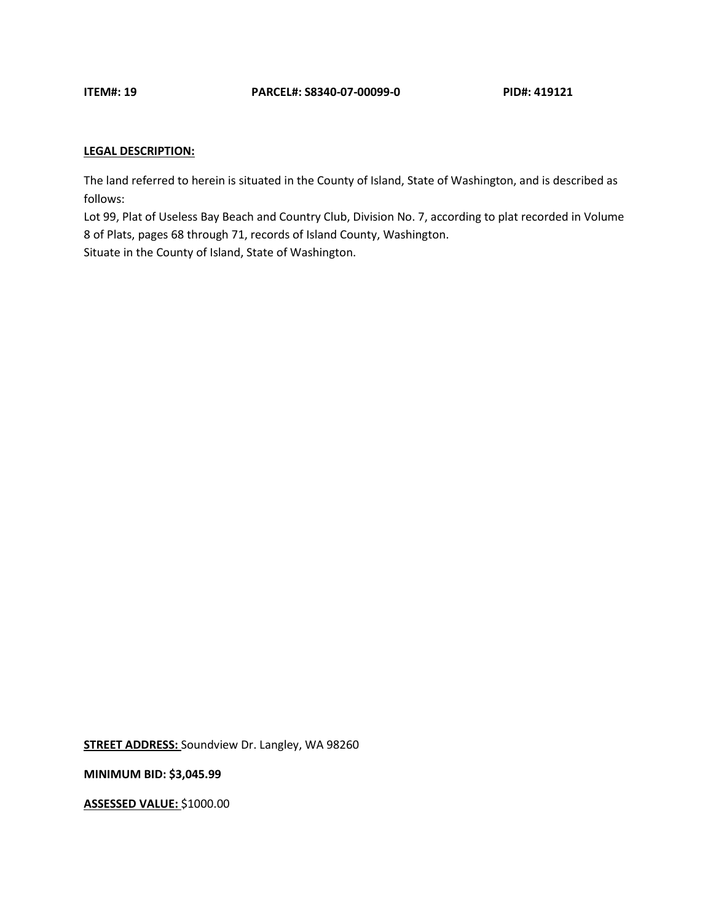The land referred to herein is situated in the County of Island, State of Washington, and is described as follows:

Lot 99, Plat of Useless Bay Beach and Country Club, Division No. 7, according to plat recorded in Volume 8 of Plats, pages 68 through 71, records of Island County, Washington. Situate in the County of Island, State of Washington.

**STREET ADDRESS:** Soundview Dr. Langley, WA 98260

**MINIMUM BID: \$3,045.99**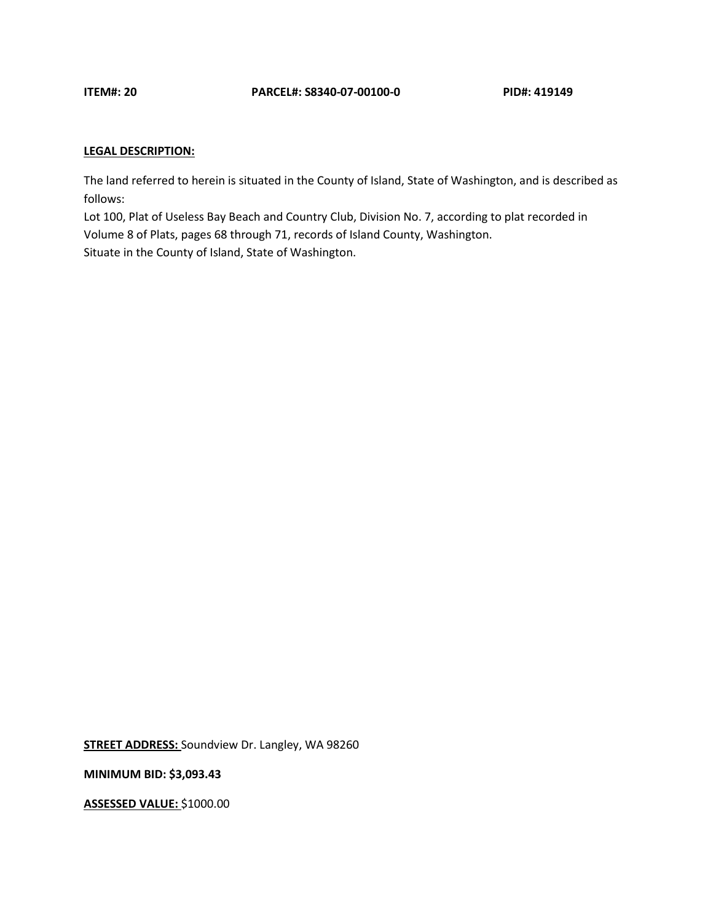The land referred to herein is situated in the County of Island, State of Washington, and is described as follows:

Lot 100, Plat of Useless Bay Beach and Country Club, Division No. 7, according to plat recorded in Volume 8 of Plats, pages 68 through 71, records of Island County, Washington. Situate in the County of Island, State of Washington.

**STREET ADDRESS:** Soundview Dr. Langley, WA 98260

**MINIMUM BID: \$3,093.43**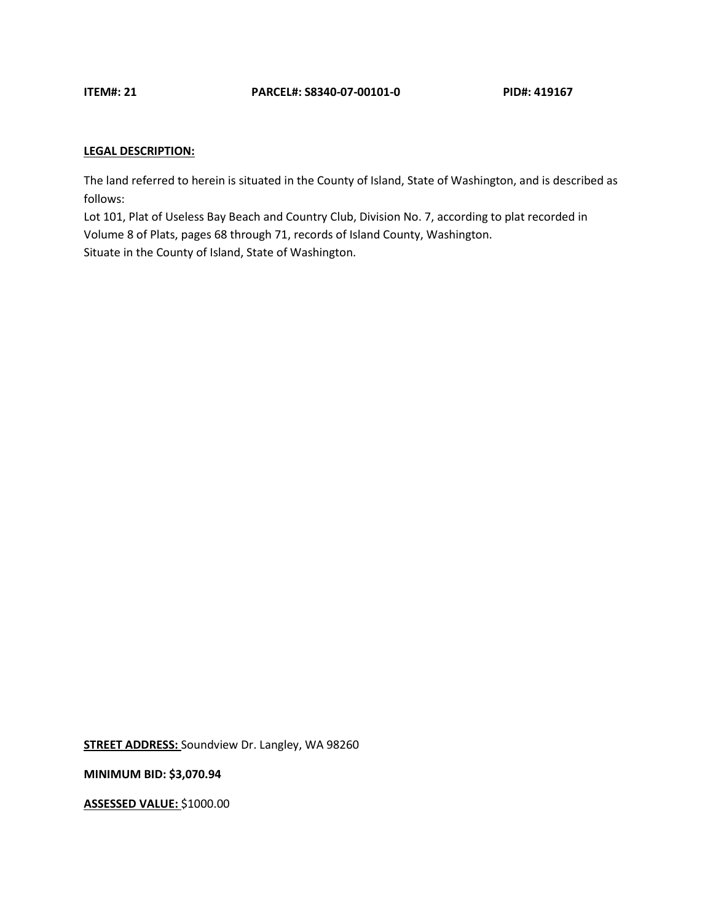The land referred to herein is situated in the County of Island, State of Washington, and is described as follows:

Lot 101, Plat of Useless Bay Beach and Country Club, Division No. 7, according to plat recorded in Volume 8 of Plats, pages 68 through 71, records of Island County, Washington. Situate in the County of Island, State of Washington.

**STREET ADDRESS:** Soundview Dr. Langley, WA 98260

**MINIMUM BID: \$3,070.94**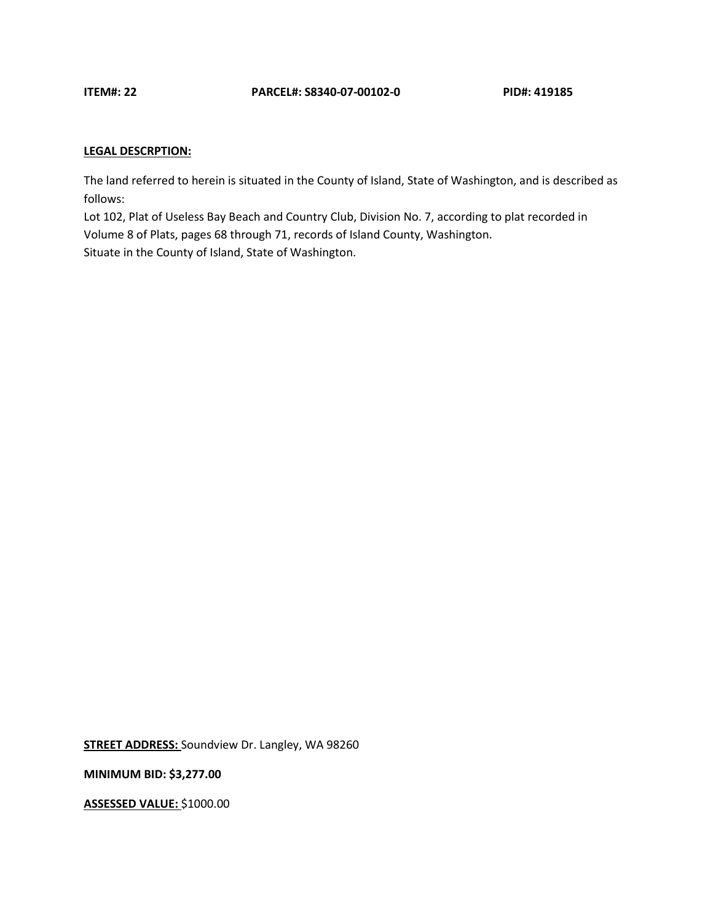The land referred to herein is situated in the County of Island, State of Washington, and is described as follows:

Lot 102, Plat of Useless Bay Beach and Country Club, Division No. 7, according to plat recorded in Volume 8 of Plats, pages 68 through 71, records of Island County, Washington. Situate in the County of Island, State of Washington.

**STREET ADDRESS:** Soundview Dr. Langley, WA 98260

**MINIMUM BID: \$3,277.00**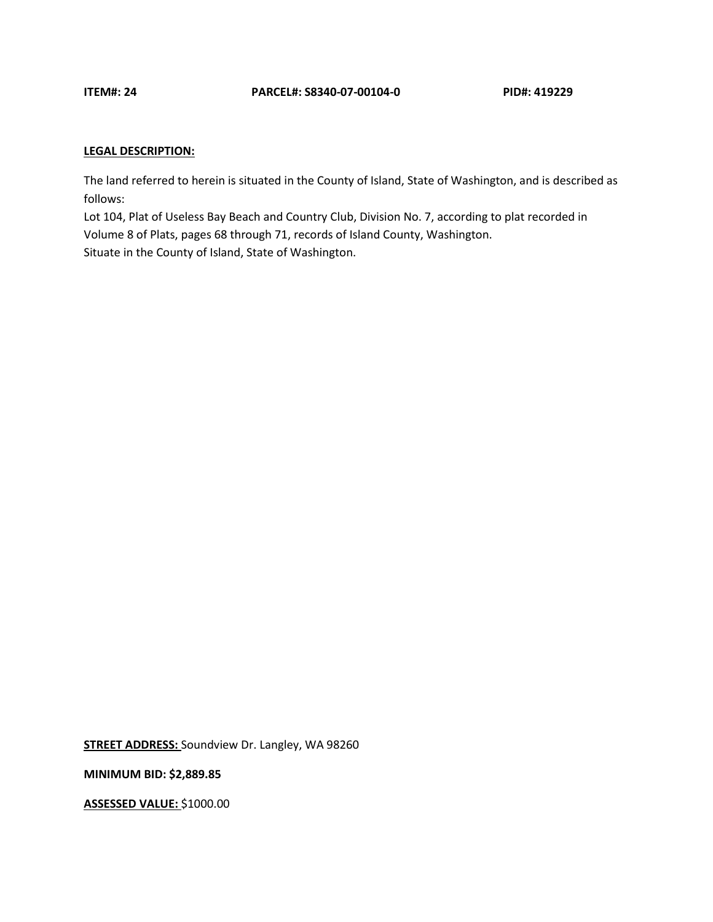The land referred to herein is situated in the County of Island, State of Washington, and is described as follows:

Lot 104, Plat of Useless Bay Beach and Country Club, Division No. 7, according to plat recorded in Volume 8 of Plats, pages 68 through 71, records of Island County, Washington. Situate in the County of Island, State of Washington.

**STREET ADDRESS:** Soundview Dr. Langley, WA 98260

**MINIMUM BID: \$2,889.85**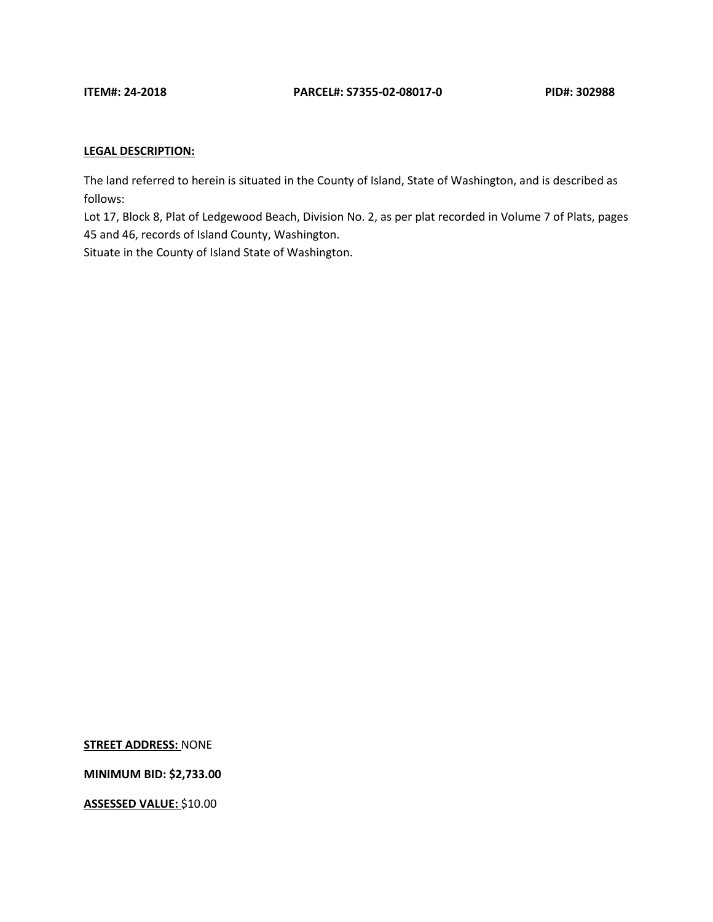The land referred to herein is situated in the County of Island, State of Washington, and is described as follows:

Lot 17, Block 8, Plat of Ledgewood Beach, Division No. 2, as per plat recorded in Volume 7 of Plats, pages 45 and 46, records of Island County, Washington.

Situate in the County of Island State of Washington.

**STREET ADDRESS:** NONE

**MINIMUM BID: \$2,733.00**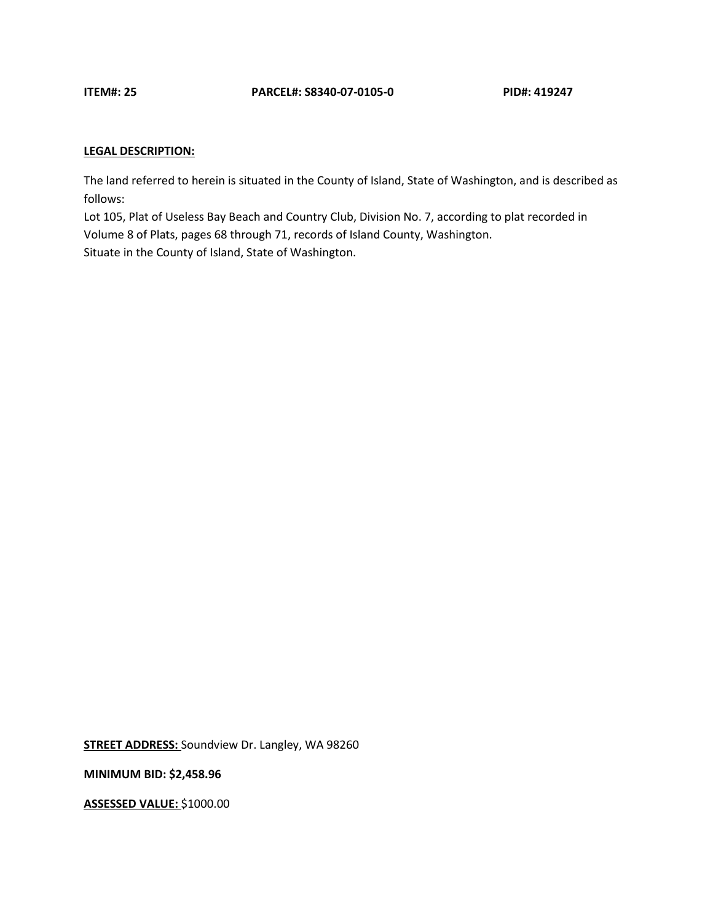The land referred to herein is situated in the County of Island, State of Washington, and is described as follows:

Lot 105, Plat of Useless Bay Beach and Country Club, Division No. 7, according to plat recorded in Volume 8 of Plats, pages 68 through 71, records of Island County, Washington. Situate in the County of Island, State of Washington.

**STREET ADDRESS:** Soundview Dr. Langley, WA 98260

**MINIMUM BID: \$2,458.96**